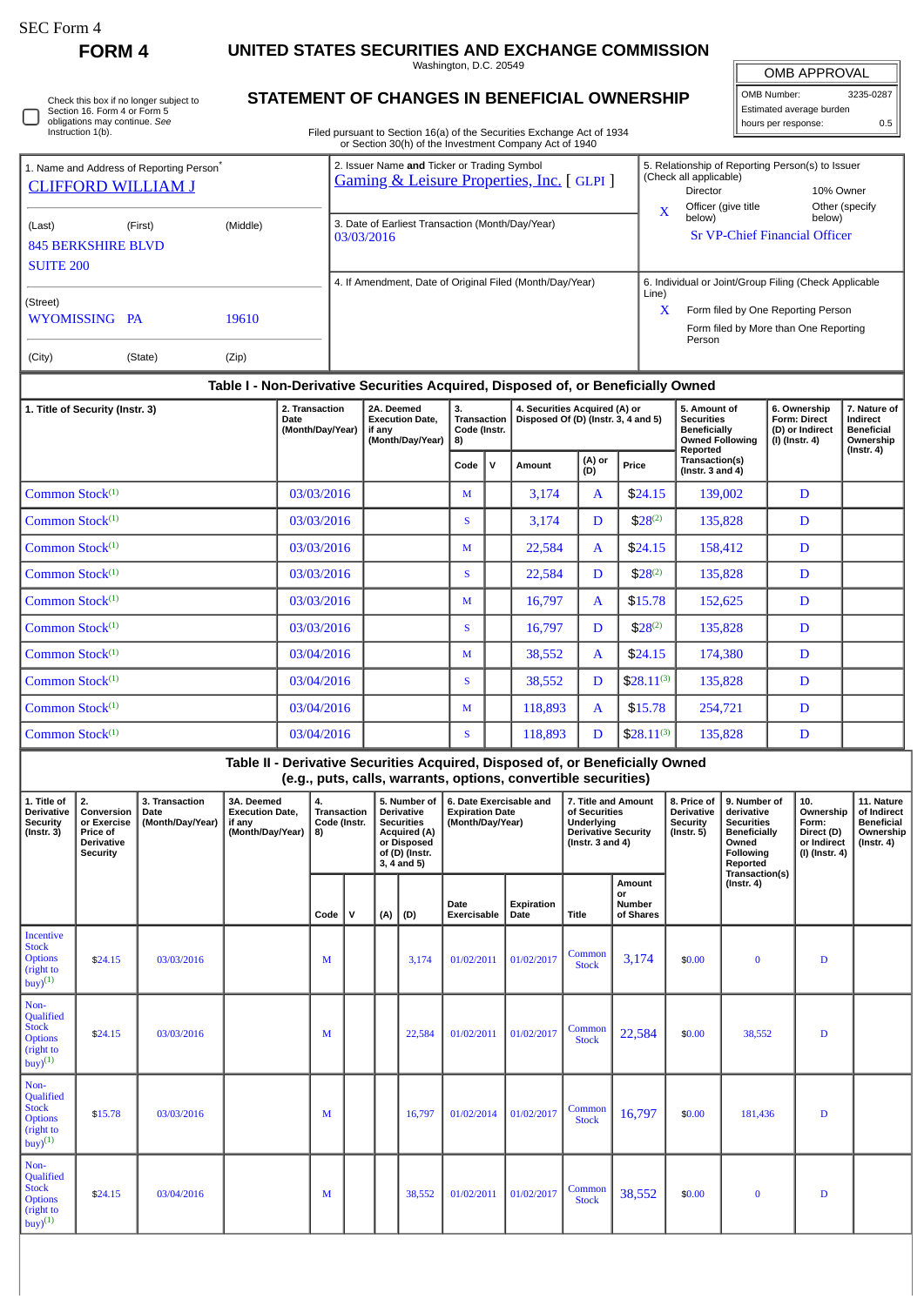$\Box$ 

**FORM 4 UNITED STATES SECURITIES AND EXCHANGE COMMISSION**

Washington, D.C. 20549

| Check this box if no longer subject to |
|----------------------------------------|
| Section 16. Form 4 or Form 5           |
| obligations may continue. See          |
| Instruction 1(b).                      |

# **STATEMENT OF CHANGES IN BENEFICIAL OWNERSHIP**

Filed pursuant to Section 16(a) of the Securities Exchange Act of 1934 or Section 30(h) of the Investment Company Act of 1940

OMB APPROVAL OMB Number: 3235-0287 Estimated average burden hours per response: 0.5

| 1. Name and Address of Reporting Person <sup>®</sup><br><b>CLIFFORD WILLIAM J</b><br>(Last)<br><b>845 BERKSHIRE BLVD</b> | (First) | (Middle)       |                        | 2. Issuer Name and Ticker or Trading Symbol<br>3. Date of Earliest Transaction (Month/Day/Year)<br>03/03/2016           |  | <b>Gaming &amp; Leisure Properties, Inc.</b> [GLPI] | 5. Relationship of Reporting Person(s) to Issuer<br>(Check all applicable)<br>10% Owner<br>Director<br>Officer (give title<br>Other (specify)<br>X<br>below)<br>below)<br><b>Sr VP-Chief Financial Officer</b> |                            |                                     |                          |  |  |
|--------------------------------------------------------------------------------------------------------------------------|---------|----------------|------------------------|-------------------------------------------------------------------------------------------------------------------------|--|-----------------------------------------------------|----------------------------------------------------------------------------------------------------------------------------------------------------------------------------------------------------------------|----------------------------|-------------------------------------|--------------------------|--|--|
| <b>SUITE 200</b><br>(Street)<br>WYOMISSING PA<br>(City)                                                                  | (State) | 19610<br>(Zip) |                        | 4. If Amendment, Date of Original Filed (Month/Day/Year)                                                                |  |                                                     | 6. Individual or Joint/Group Filing (Check Applicable<br>Line)<br>X<br>Form filed by One Reporting Person<br>Form filed by More than One Reporting<br>Person                                                   |                            |                                     |                          |  |  |
| Table I - Non-Derivative Securities Acquired, Disposed of, or Beneficially Owned                                         |         |                |                        |                                                                                                                         |  |                                                     |                                                                                                                                                                                                                |                            |                                     |                          |  |  |
| 1. Title of Security (Instr. 3)                                                                                          |         |                | 2. Transaction<br>Dote | 4. Securities Acquired (A) or<br>2A. Deemed<br>з.<br>Transaction Disposed Of $(D)$ (lnstr 2, 4 and 5)<br>Evecution Date |  |                                                     |                                                                                                                                                                                                                | 5. Amount of<br>Cocurition | 6. Ownership<br><b>Corm: Direct</b> | 7. Nature of<br>Indiract |  |  |

| 1. Title of Security (Instr. 3) | 2. Transaction<br>Date<br>(Month/Day/Year) | 2A. Deemed<br><b>Execution Date.</b><br>if any<br>(Month/Day/Year) | З.<br><b>Transaction</b><br>Code (Instr.<br>8) |             | 4. Securities Acquired (A) or<br>Disposed Of (D) (Instr. 3, 4 and 5) |               |                | 5. Amount of<br><b>Securities</b><br><b>Beneficially</b><br><b>Owned Following</b><br>Reported | 6. Ownership<br><b>Form: Direct</b><br>(D) or Indirect<br>(I) (Instr. 4) | 7. Nature of<br>Indirect<br><b>Beneficial</b><br>Ownership<br>$($ lnstr. 4 $)$ |
|---------------------------------|--------------------------------------------|--------------------------------------------------------------------|------------------------------------------------|-------------|----------------------------------------------------------------------|---------------|----------------|------------------------------------------------------------------------------------------------|--------------------------------------------------------------------------|--------------------------------------------------------------------------------|
|                                 |                                            |                                                                    | Code                                           | $\mathbf v$ | Amount                                                               | (A) or<br>(D) | Price          | Transaction(s)<br>(Instr. $3$ and $4$ )                                                        |                                                                          |                                                                                |
| Common Stock $(1)$              | 03/03/2016                                 |                                                                    | M                                              |             | 3,174                                                                | A             | \$24.15        | 139,002                                                                                        | D                                                                        |                                                                                |
| Common Stock $(1)$              | 03/03/2016                                 |                                                                    | <b>S</b>                                       |             | 3,174                                                                | D             | $$28^{(2)}$    | 135,828                                                                                        | D                                                                        |                                                                                |
| Common Stock <sup>(1)</sup>     | 03/03/2016                                 |                                                                    | M                                              |             | 22,584                                                               | $\mathbf{A}$  | \$24.15        | 158,412                                                                                        | D                                                                        |                                                                                |
| Common Stock <sup>(1)</sup>     | 03/03/2016                                 |                                                                    | S                                              |             | 22,584                                                               | D             | $$28^{(2)}$    | 135,828                                                                                        | D                                                                        |                                                                                |
| Common Stock $(1)$              | 03/03/2016                                 |                                                                    | M                                              |             | 16,797                                                               | $\mathbf{A}$  | \$15.78        | 152,625                                                                                        | D                                                                        |                                                                                |
| Common Stock <sup>(1)</sup>     | 03/03/2016                                 |                                                                    | S                                              |             | 16,797                                                               | D             | $$28^{(2)}$    | 135,828                                                                                        | D                                                                        |                                                                                |
| Common Stock $(1)$              | 03/04/2016                                 |                                                                    | M                                              |             | 38,552                                                               | A             | \$24.15        | 174,380                                                                                        | D                                                                        |                                                                                |
| Common Stock $(1)$              | 03/04/2016                                 |                                                                    | S                                              |             | 38,552                                                               | D             | $$28.11^{(3)}$ | 135,828                                                                                        | D                                                                        |                                                                                |
| Common Stock $(1)$              | 03/04/2016                                 |                                                                    | M                                              |             | 118,893                                                              | $\mathbf{A}$  | \$15.78        | 254,721                                                                                        | D                                                                        |                                                                                |
| Common Stock $(1)$              | 03/04/2016                                 |                                                                    | <b>S</b>                                       |             | 118,893                                                              | D             | $$28.11^{(3)}$ | 135,828                                                                                        | D                                                                        |                                                                                |

**Table II - Derivative Securities Acquired, Disposed of, or Beneficially Owned (e.g., puts, calls, warrants, options, convertible securities)**

| 1. Title of<br><b>Derivative</b><br><b>Security</b><br>$($ Instr. $3)$           | 2.<br>Conversion<br>or Exercise<br>Price of<br><b>Derivative</b><br>Security | 3. Transaction<br>Date<br>(Month/Day/Year) | 3A. Deemed<br><b>Execution Date.</b><br>if any<br>(Month/Day/Year) | 4.<br><b>Transaction</b><br>Code (Instr.<br>8)<br>$\mathsf{v}$<br>Code |  | 5. Number of<br><b>Derivative</b><br><b>Securities</b><br>Acquired (A)<br>or Disposed<br>of (D) (Instr.<br>$3, 4$ and $5)$ |        | 6. Date Exercisable and<br><b>Expiration Date</b><br>(Month/Day/Year) |                    | 7. Title and Amount<br>of Securities<br>Underlying<br><b>Derivative Security</b><br>(Instr. $3$ and $4$ ) |                                            | 8. Price of<br><b>Derivative</b><br>Security<br>$($ Instr. 5 $)$ | 9. Number of<br>derivative<br><b>Securities</b><br><b>Beneficially</b><br>Owned<br>Following<br>Reported<br>Transaction(s) | 10.<br>Ownership<br>Form:<br>Direct (D)<br>or Indirect<br>(I) (Instr. 4) | 11. Nature<br>of Indirect<br><b>Beneficial</b><br>Ownership<br>(Instr. 4) |
|----------------------------------------------------------------------------------|------------------------------------------------------------------------------|--------------------------------------------|--------------------------------------------------------------------|------------------------------------------------------------------------|--|----------------------------------------------------------------------------------------------------------------------------|--------|-----------------------------------------------------------------------|--------------------|-----------------------------------------------------------------------------------------------------------|--------------------------------------------|------------------------------------------------------------------|----------------------------------------------------------------------------------------------------------------------------|--------------------------------------------------------------------------|---------------------------------------------------------------------------|
|                                                                                  |                                                                              |                                            |                                                                    |                                                                        |  | (A)                                                                                                                        | (D)    | Date<br>Exercisable                                                   | Expiration<br>Date | Title                                                                                                     | Amount<br>or<br><b>Number</b><br>of Shares |                                                                  | $($ Instr. 4 $)$                                                                                                           |                                                                          |                                                                           |
| <b>Incentive</b><br><b>Stock</b><br><b>Options</b><br>(right to<br>$buy)^{(1)}$  | \$24.15                                                                      | 03/03/2016                                 |                                                                    | M                                                                      |  |                                                                                                                            | 3,174  | 01/02/2011                                                            | 01/02/2017         | Common<br><b>Stock</b>                                                                                    | 3,174                                      | \$0.00                                                           | $\bf{0}$                                                                                                                   | D                                                                        |                                                                           |
| Non-<br>Qualified<br><b>Stock</b><br><b>Options</b><br>(right to<br>$buy)^{(1)}$ | \$24.15                                                                      | 03/03/2016                                 |                                                                    | M                                                                      |  |                                                                                                                            | 22,584 | 01/02/2011                                                            | 01/02/2017         | Common<br><b>Stock</b>                                                                                    | 22,584                                     | \$0.00                                                           | 38,552                                                                                                                     | D                                                                        |                                                                           |
| Non-<br>Qualified<br><b>Stock</b><br><b>Options</b><br>(right to<br>$buy)^{(1)}$ | \$15.78                                                                      | 03/03/2016                                 |                                                                    | M                                                                      |  |                                                                                                                            | 16,797 | 01/02/2014                                                            | 01/02/2017         | Common<br><b>Stock</b>                                                                                    | 16,797                                     | \$0.00                                                           | 181,436                                                                                                                    | D                                                                        |                                                                           |
| Non-<br>Qualified<br><b>Stock</b><br><b>Options</b><br>(right to<br>$buy)^{(1)}$ | \$24.15                                                                      | 03/04/2016                                 |                                                                    | M                                                                      |  |                                                                                                                            | 38,552 | 01/02/2011                                                            | 01/02/2017         | Common<br><b>Stock</b>                                                                                    | 38,552                                     | \$0.00                                                           | $\bf{0}$                                                                                                                   | D                                                                        |                                                                           |